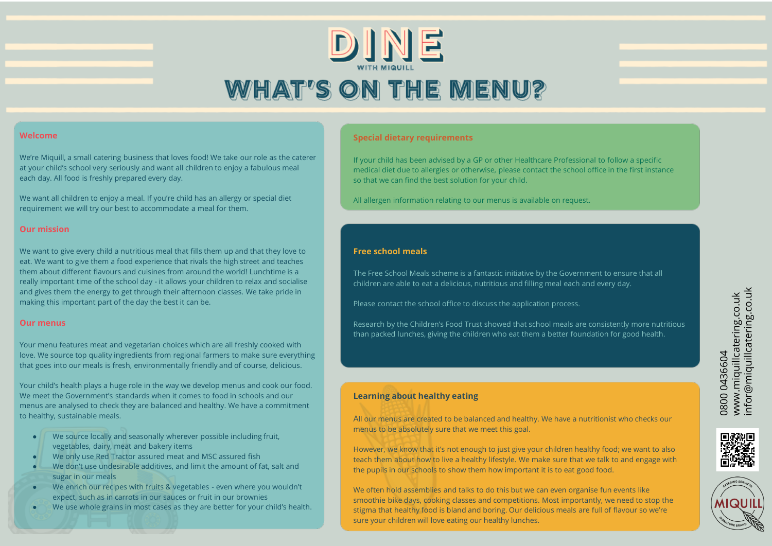# DINE **WHAT'S ON THE MENU?**

#### **Welcome**

We're Miquill, a small catering business that loves food! We take our role as the caterer at your child's school very seriously and want all children to enjoy a fabulous meal each day. All food is freshly prepared every day.

We want all children to enjoy a meal. If you're child has an allergy or special diet requirement we will try our best to accommodate a meal for them.

#### **Our mission**

We want to give every child a nutritious meal that fills them up and that they love to eat. We want to give them a food experience that rivals the high street and teaches them about different flavours and cuisines from around the world! Lunchtime is a really important time of the school day - it allows your children to relax and socialise and gives them the energy to get through their afternoon classes. We take pride in making this important part of the day the best it can be.

#### **Our menus**

Your menu features meat and vegetarian choices which are all freshly cooked with love. We source top quality ingredients from regional farmers to make sure everything that goes into our meals is fresh, environmentally friendly and of course, delicious.

Your child's health plays a huge role in the way we develop menus and cook our food. We meet the Government's standards when it comes to food in schools and our menus are analysed to check they are balanced and healthy. We have a commitment to healthy, sustainable meals.

- We source locally and seasonally wherever possible including fruit, vegetables, dairy, meat and bakery items
- We only use Red Tractor assured meat and MSC assured fish
- We don't use undesirable additives, and limit the amount of fat, salt and sugar in our meals
- We enrich our recipes with fruits & vegetables even where you wouldn't expect, such as in carrots in our sauces or fruit in our brownies
- We use whole grains in most cases as they are better for your child's health.

#### **Special dietary requirements**

If your child has been advised by a GP or other Healthcare Professional to follow a specific medical diet due to allergies or otherwise, please contact the school office in the first instance so that we can find the best solution for your child.

All allergen information relating to our menus is available on request.

#### **Free school meals**

The Free School Meals scheme is a fantastic initiative by the Government to ensure that all children are able to eat a delicious, nutritious and filling meal each and every day.

Please contact the school office to discuss the application process.

Research by the Children's Food Trust showed that school meals are consistently more nutritious than packed lunches, giving the children who eat them a better foundation for good health.

#### **Learning about healthy eating**

All our menus are created to be balanced and healthy. We have a nutritionist who checks our menus to be absolutely sure that we meet this goal.

However, we know that it's not enough to just give your children healthy food; we want to also teach them about how to live a healthy lifestyle. We make sure that we talk to and engage with the pupils in our schools to show them how important it is to eat good food.

We often hold assemblies and talks to do this but we can even organise fun events like smoothie bike days, cooking classes and competitions. Most importantly, we need to stop the stigma that healthy food is bland and boring. Our delicious meals are full of flavour so we're sure your children will love eating our healthy lunches.